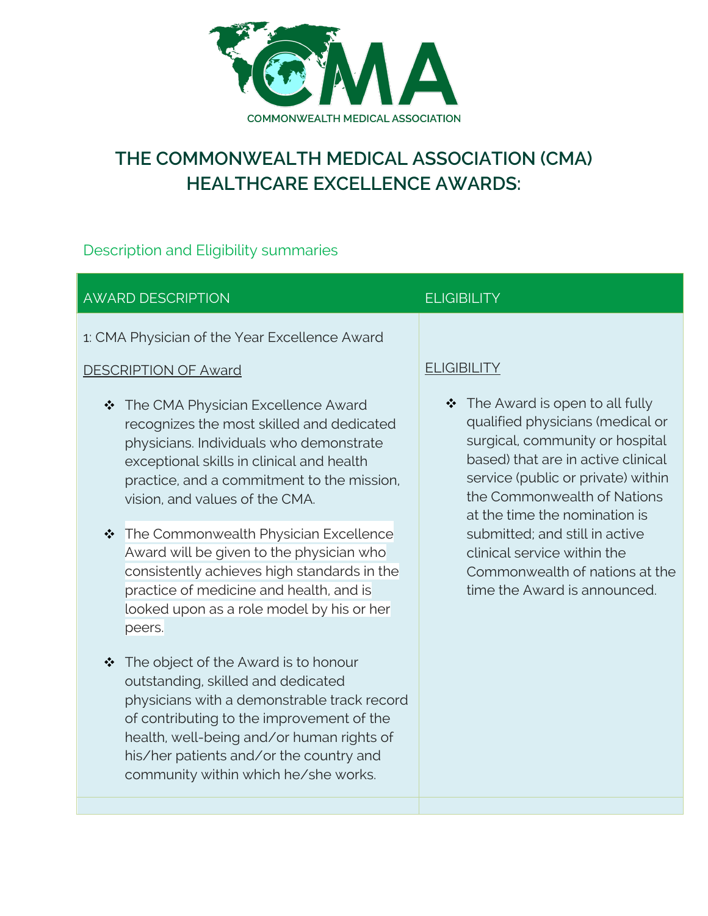

# **THE COMMONWEALTH MEDICAL ASSOCIATION (CMA) HEALTHCARE EXCELLENCE AWARDS:**

## Description and Eligibility summaries

#### AWARD DESCRIPTION ELIGIBILITY 1: CMA Physician of the Year Excellence Award DESCRIPTION OF Award \* The CMA Physician Excellence Award recognizes the most skilled and dedicated physicians. Individuals who demonstrate exceptional skills in clinical and health practice, and a commitment to the mission, vision, and values of the CMA. \* The Commonwealth Physician Excellence Award will be given to the physician who consistently achieves high standards in the practice of medicine and health, and is looked upon as a role model by his or her peers. **ELIGIBILITY**  $\div$  The Award is open to all fully qualified physicians (medical or surgical, community or hospital based) that are in active clinical service (public or private) within the Commonwealth of Nations at the time the nomination is submitted; and still in active clinical service within the time the Award is announced.

- $\div$  The object of the Award is to honour outstanding, skilled and dedicated physicians with a demonstrable track record of contributing to the improvement of the health, well-being and/or human rights of his/her patients and/or the country and community within which he/she works.
- Commonwealth of nations at the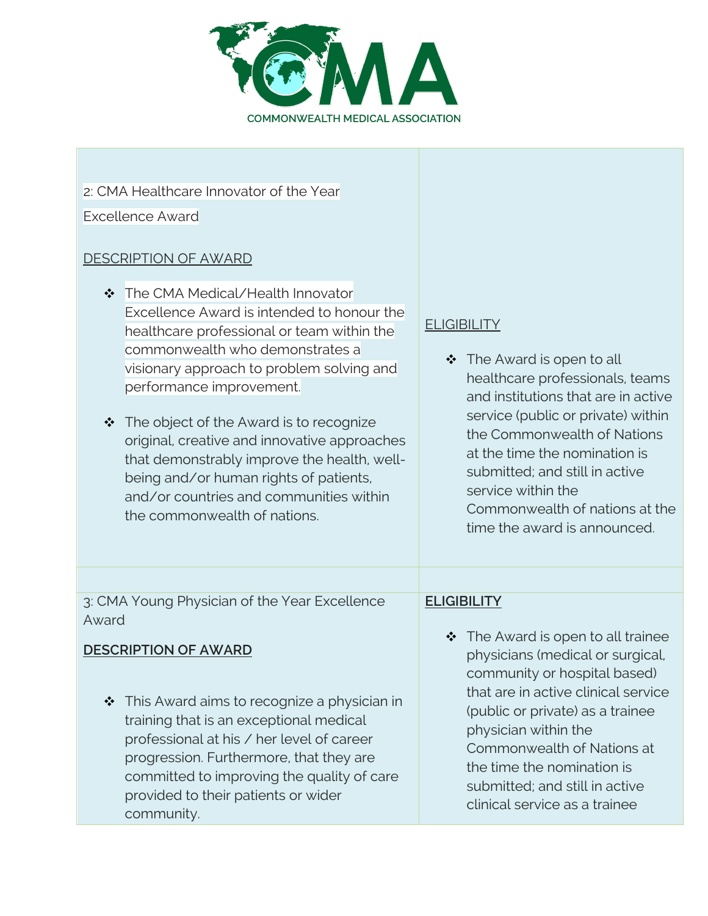

### 2: CMA Healthcare Innovator of the Year

Excellence Award

## DESCRIPTION OF AWARD

| ❖ The CMA Medical/Health Innovator<br>Excellence Award is intended to honour the<br>healthcare professional or team within the<br>commonwealth who demonstrates a<br>visionary approach to problem solving and<br>performance improvement.<br>The object of the Award is to recognize<br>$\bullet^{\bullet}_{\bullet} \bullet$<br>original, creative and innovative approaches<br>that demonstrably improve the health, well-<br>being and/or human rights of patients,<br>and/or countries and communities within<br>the commonwealth of nations. | <b>ELIGIBILITY</b><br>❖ The Award is open to all<br>healthcare professionals, teams<br>and institutions that are in active<br>service (public or private) within<br>the Commonwealth of Nations<br>at the time the nomination is<br>submitted; and still in active<br>service within the<br>Commonwealth of nations at the<br>time the award is announced. |
|----------------------------------------------------------------------------------------------------------------------------------------------------------------------------------------------------------------------------------------------------------------------------------------------------------------------------------------------------------------------------------------------------------------------------------------------------------------------------------------------------------------------------------------------------|------------------------------------------------------------------------------------------------------------------------------------------------------------------------------------------------------------------------------------------------------------------------------------------------------------------------------------------------------------|
| 3: CMA Young Physician of the Year Excellence                                                                                                                                                                                                                                                                                                                                                                                                                                                                                                      | <b>ELIGIBILITY</b>                                                                                                                                                                                                                                                                                                                                         |
| Award<br><b>DESCRIPTION OF AWARD</b><br>This Award aims to recognize a physician in<br>$\frac{1}{2}$<br>training that is an exceptional medical<br>professional at his / her level of career<br>progression. Furthermore, that they are<br>committed to improving the quality of care<br>provided to their patients or wider<br>community.                                                                                                                                                                                                         | $\div$ The Award is open to all trainee<br>physicians (medical or surgical,<br>community or hospital based)<br>that are in active clinical service<br>(public or private) as a trainee<br>physician within the<br>Commonwealth of Nations at<br>the time the nomination is<br>submitted; and still in active<br>clinical service as a trainee              |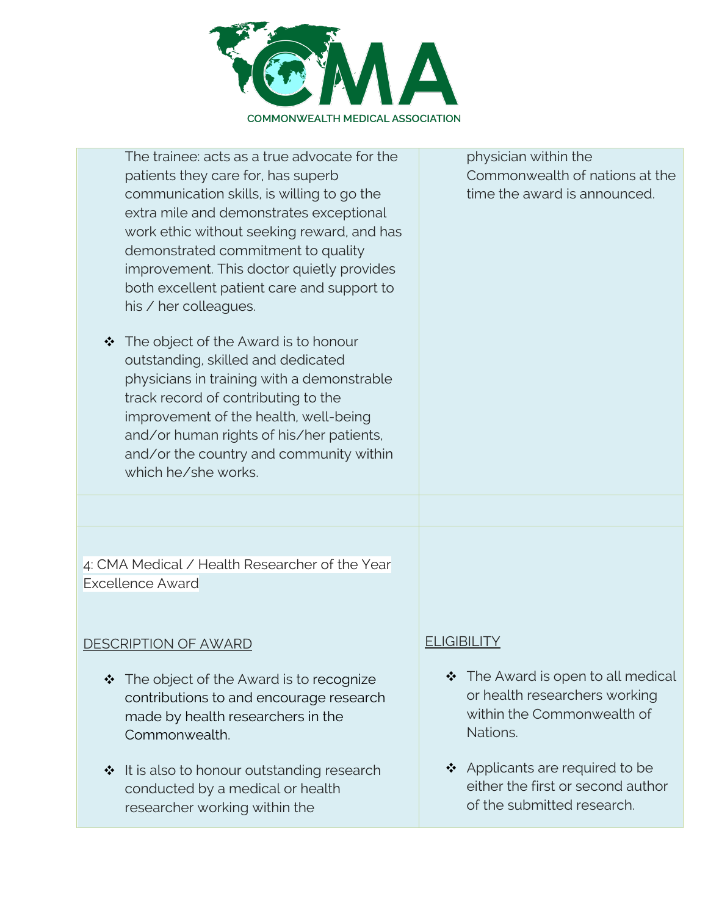

| The trainee; acts as a true advocate for the<br>patients they care for, has superb<br>communication skills, is willing to go the<br>extra mile and demonstrates exceptional<br>work ethic without seeking reward, and has<br>demonstrated commitment to quality<br>improvement. This doctor quietly provides<br>both excellent patient care and support to<br>his / her colleagues.<br>The object of the Award is to honour<br>❖<br>outstanding, skilled and dedicated<br>physicians in training with a demonstrable<br>track record of contributing to the<br>improvement of the health, well-being<br>and/or human rights of his/her patients,<br>and/or the country and community within<br>which he/she works. | physician within the<br>Commonwealth of nations at the<br>time the award is announced.                             |
|--------------------------------------------------------------------------------------------------------------------------------------------------------------------------------------------------------------------------------------------------------------------------------------------------------------------------------------------------------------------------------------------------------------------------------------------------------------------------------------------------------------------------------------------------------------------------------------------------------------------------------------------------------------------------------------------------------------------|--------------------------------------------------------------------------------------------------------------------|
| 4: CMA Medical / Health Researcher of the Year<br><b>Excellence Award</b>                                                                                                                                                                                                                                                                                                                                                                                                                                                                                                                                                                                                                                          |                                                                                                                    |
| <u>DESCRIPTION OF AWARD</u>                                                                                                                                                                                                                                                                                                                                                                                                                                                                                                                                                                                                                                                                                        | <b>ELIGIBILITY</b>                                                                                                 |
| The object of the Award is to recognize<br>❖<br>contributions to and encourage research<br>made by health researchers in the<br>Commonwealth.                                                                                                                                                                                                                                                                                                                                                                                                                                                                                                                                                                      | $\div$ The Award is open to all medical<br>or health researchers working<br>within the Commonwealth of<br>Nations. |
| ❖ It is also to honour outstanding research<br>conducted by a medical or health                                                                                                                                                                                                                                                                                                                                                                                                                                                                                                                                                                                                                                    | ❖ Applicants are required to be<br>either the first or second author                                               |

of the submitted research.

researcher working within the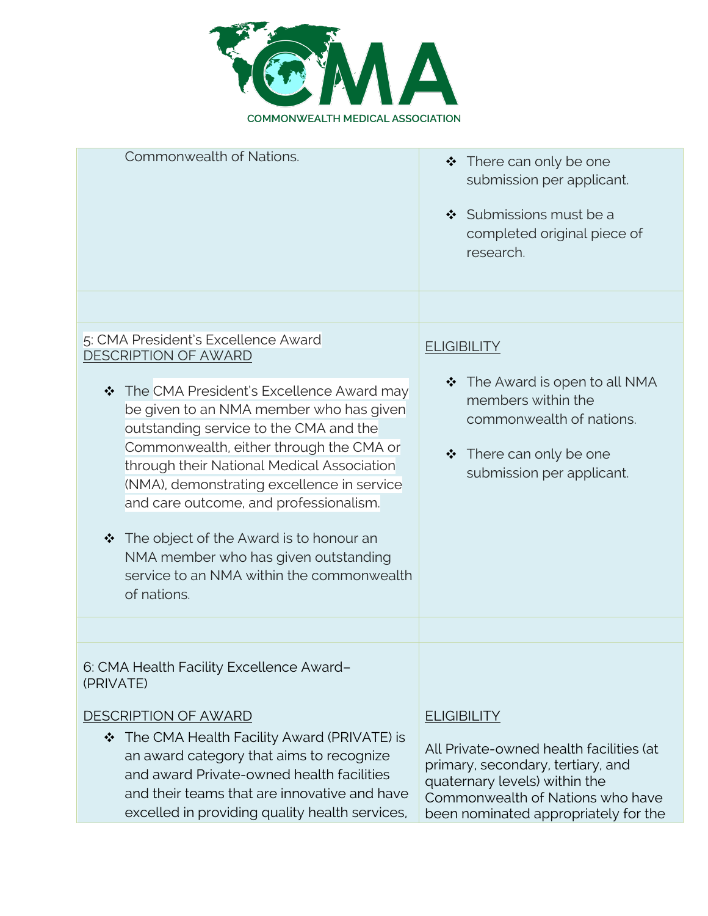

| Commonwealth of Nations.                                                                                                                                                                                                                                                                                                                                                                                                                                                                                                                     | $\div$ There can only be one<br>submission per applicant.<br>$\div$ Submissions must be a<br>completed original piece of<br>research.                                                     |
|----------------------------------------------------------------------------------------------------------------------------------------------------------------------------------------------------------------------------------------------------------------------------------------------------------------------------------------------------------------------------------------------------------------------------------------------------------------------------------------------------------------------------------------------|-------------------------------------------------------------------------------------------------------------------------------------------------------------------------------------------|
|                                                                                                                                                                                                                                                                                                                                                                                                                                                                                                                                              |                                                                                                                                                                                           |
| 5: CMA President's Excellence Award<br><b>DESCRIPTION OF AWARD</b><br>❖ The CMA President's Excellence Award may<br>be given to an NMA member who has given<br>outstanding service to the CMA and the<br>Commonwealth, either through the CMA or<br>through their National Medical Association<br>(NMA), demonstrating excellence in service<br>and care outcome, and professionalism.<br>$\div$ The object of the Award is to honour an<br>NMA member who has given outstanding<br>service to an NMA within the commonwealth<br>of nations. | <b>ELIGIBILITY</b><br>$\div$ The Award is open to all NMA<br>members within the<br>commonwealth of nations.<br>❖ There can only be one<br>submission per applicant.                       |
|                                                                                                                                                                                                                                                                                                                                                                                                                                                                                                                                              |                                                                                                                                                                                           |
| 6: CMA Health Facility Excellence Award-<br>(PRIVATE)                                                                                                                                                                                                                                                                                                                                                                                                                                                                                        |                                                                                                                                                                                           |
| <b>DESCRIPTION OF AWARD</b>                                                                                                                                                                                                                                                                                                                                                                                                                                                                                                                  | <b>ELIGIBILITY</b>                                                                                                                                                                        |
| The CMA Health Facility Award (PRIVATE) is<br>❖<br>an award category that aims to recognize<br>and award Private-owned health facilities<br>and their teams that are innovative and have<br>excelled in providing quality health services,                                                                                                                                                                                                                                                                                                   | All Private-owned health facilities (at<br>primary, secondary, tertiary, and<br>quaternary levels) within the<br>Commonwealth of Nations who have<br>been nominated appropriately for the |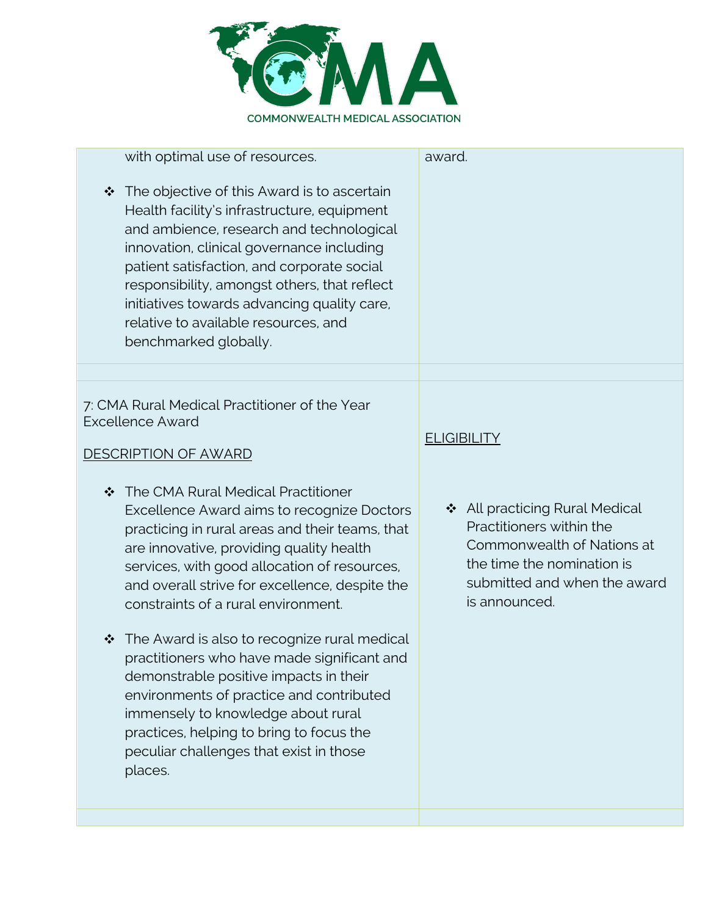

| with optimal use of resources.                                                                                                                                                                                                                                                                                                                                                                      | award.                                                                                                                                                                       |
|-----------------------------------------------------------------------------------------------------------------------------------------------------------------------------------------------------------------------------------------------------------------------------------------------------------------------------------------------------------------------------------------------------|------------------------------------------------------------------------------------------------------------------------------------------------------------------------------|
| ❖ The objective of this Award is to ascertain<br>Health facility's infrastructure, equipment<br>and ambience, research and technological<br>innovation, clinical governance including<br>patient satisfaction, and corporate social<br>responsibility, amongst others, that reflect<br>initiatives towards advancing quality care,<br>relative to available resources, and<br>benchmarked globally. |                                                                                                                                                                              |
|                                                                                                                                                                                                                                                                                                                                                                                                     |                                                                                                                                                                              |
| 7: CMA Rural Medical Practitioner of the Year<br><b>Excellence Award</b><br><b>DESCRIPTION OF AWARD</b><br>❖ The CMA Rural Medical Practitioner<br>Excellence Award aims to recognize Doctors<br>practicing in rural areas and their teams, that<br>are innovative, providing quality health<br>services, with good allocation of resources,<br>and overall strive for excellence, despite the      | <b>ELIGIBILITY</b><br>❖ All practicing Rural Medical<br>Practitioners within the<br>Commonwealth of Nations at<br>the time the nomination is<br>submitted and when the award |
| constraints of a rural environment.<br>$\div$ The Award is also to recognize rural medical<br>practitioners who have made significant and<br>demonstrable positive impacts in their<br>environments of practice and contributed<br>immensely to knowledge about rural<br>practices, helping to bring to focus the<br>peculiar challenges that exist in those<br>places.                             | is announced.                                                                                                                                                                |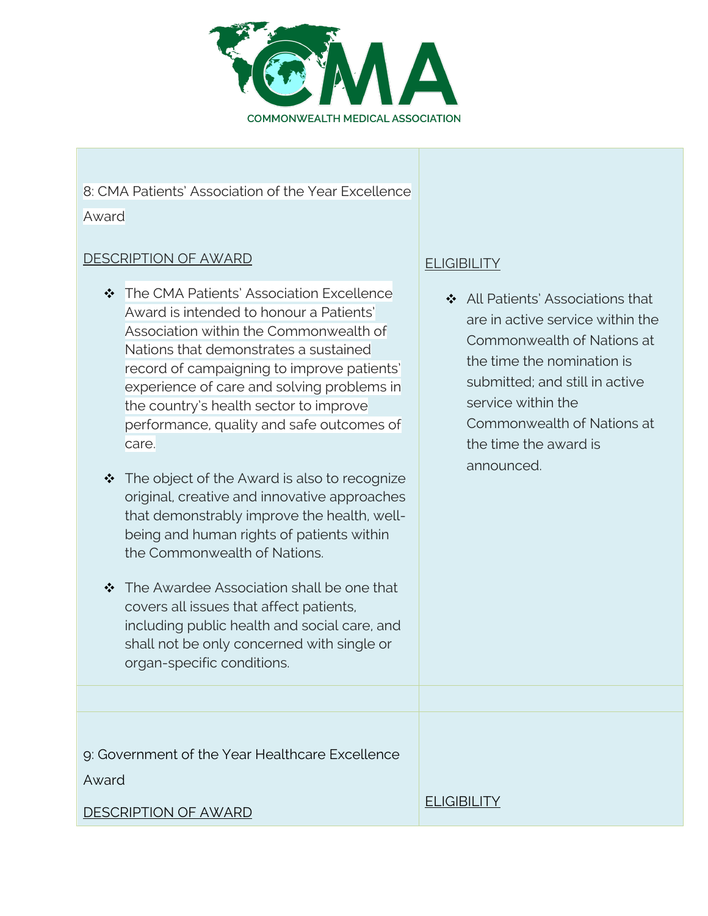

## 8: CMA Patients' Association of the Year Excellence

Award

#### DESCRIPTION OF AWARD

- \* The CMA Patients' Association Excellence Award is intended to honour a Patients' Association within the Commonwealth of Nations that demonstrates a sustained record of campaigning to improve patients' experience of care and solving problems in the country's health sector to improve performance, quality and safe outcomes of care.
- $\div$  The object of the Award is also to recognize original, creative and innovative approaches that demonstrably improve the health, wellbeing and human rights of patients within the Commonwealth of Nations.
- The Awardee Association shall be one that covers all issues that affect patients, including public health and social care, and shall not be only concerned with single or organ-specific conditions.

## **ELIGIBILITY**

❖ All Patients' Associations that are in active service within the Commonwealth of Nations at the time the nomination is submitted; and still in active service within the Commonwealth of Nations at the time the award is announced.

9: Government of the Year Healthcare Excellence

Award

DESCRIPTION OF AWARD

**ELIGIBILITY**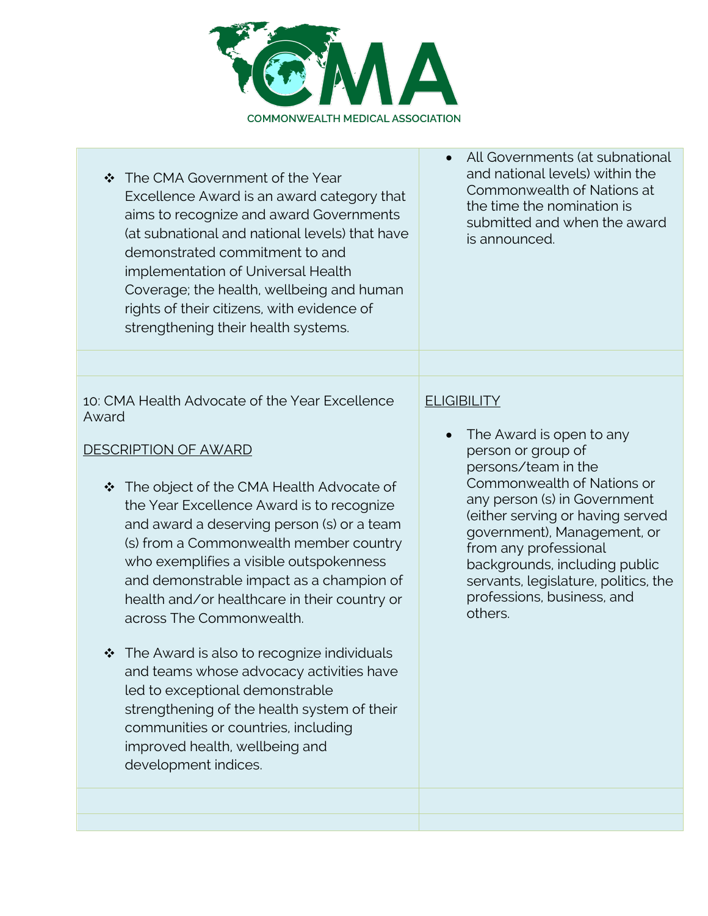

- ❖ The CMA Government of the Year Excellence Award is an award category that aims to recognize and award Governments (at subnational and national levels) that have demonstrated commitment to and implementation of Universal Health Coverage; the health, wellbeing and human rights of their citizens, with evidence of strengthening their health systems.
- 10: CMA Health Advocate of the Year Excellence Award

#### DESCRIPTION OF AWARD

- ❖ The object of the CMA Health Advocate of the Year Excellence Award is to recognize and award a deserving person (s) or a team (s) from a Commonwealth member country who exemplifies a visible outspokenness and demonstrable impact as a champion of health and/or healthcare in their country or across The Commonwealth.
- $\cdot \cdot$  The Award is also to recognize individuals and teams whose advocacy activities have led to exceptional demonstrable strengthening of the health system of their communities or countries, including improved health, wellbeing and development indices.

• All Governments (at subnational and national levels) within the Commonwealth of Nations at the time the nomination is submitted and when the award is announced.

#### **ELIGIBILITY**

• The Award is open to any person or group of persons/team in the Commonwealth of Nations or any person (s) in Government (either serving or having served government), Management, or from any professional backgrounds, including public servants, legislature, politics, the professions, business, and others.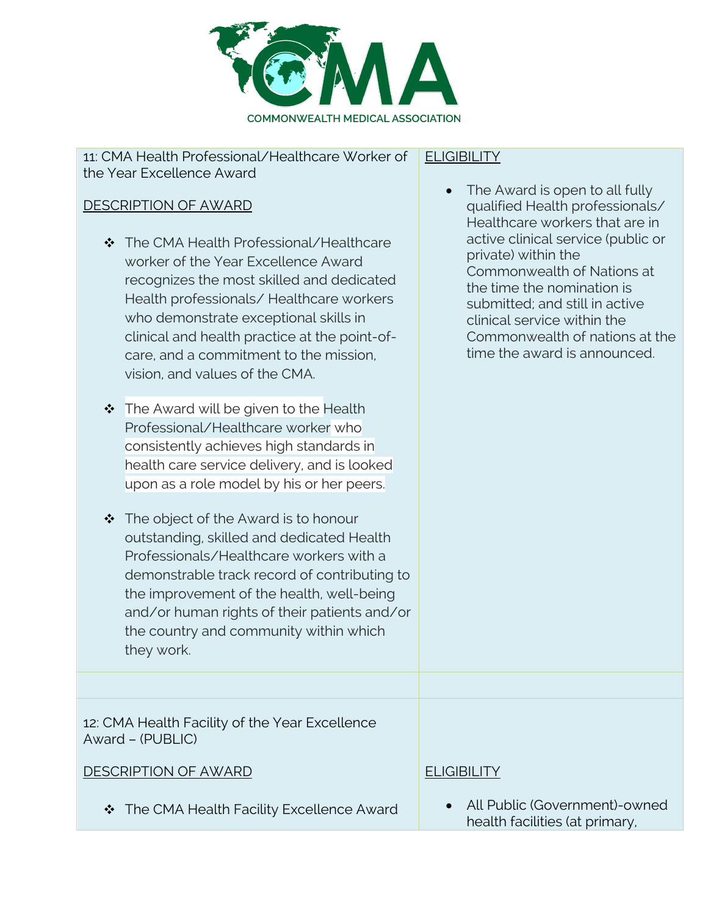

#### 11: CMA Health Professional/Healthcare Worker of the Year Excellence Award

#### DESCRIPTION OF AWARD

- ❖ The CMA Health Professional/Healthcare worker of the Year Excellence Award recognizes the most skilled and dedicated Health professionals/ Healthcare workers who demonstrate exceptional skills in clinical and health practice at the point-ofcare, and a commitment to the mission, vision, and values of the CMA.
- $\div$  The Award will be given to the Health Professional/Healthcare worker who consistently achieves high standards in health care service delivery, and is looked upon as a role model by his or her peers.
- $\div$  The object of the Award is to honour outstanding, skilled and dedicated Health Professionals/Healthcare workers with a demonstrable track record of contributing to the improvement of the health, well-being and/or human rights of their patients and/or the country and community within which they work.

12: CMA Health Facility of the Year Excellence Award – (PUBLIC)

DESCRIPTION OF AWARD

#### $\div$  The CMA Health Facility Excellence Award

#### **ELIGIBILITY**

• The Award is open to all fully qualified Health professionals/ Healthcare workers that are in active clinical service (public or private) within the Commonwealth of Nations at the time the nomination is submitted; and still in active clinical service within the Commonwealth of nations at the time the award is announced.

#### **ELIGIBILITY**

• All Public (Government)-owned health facilities (at primary,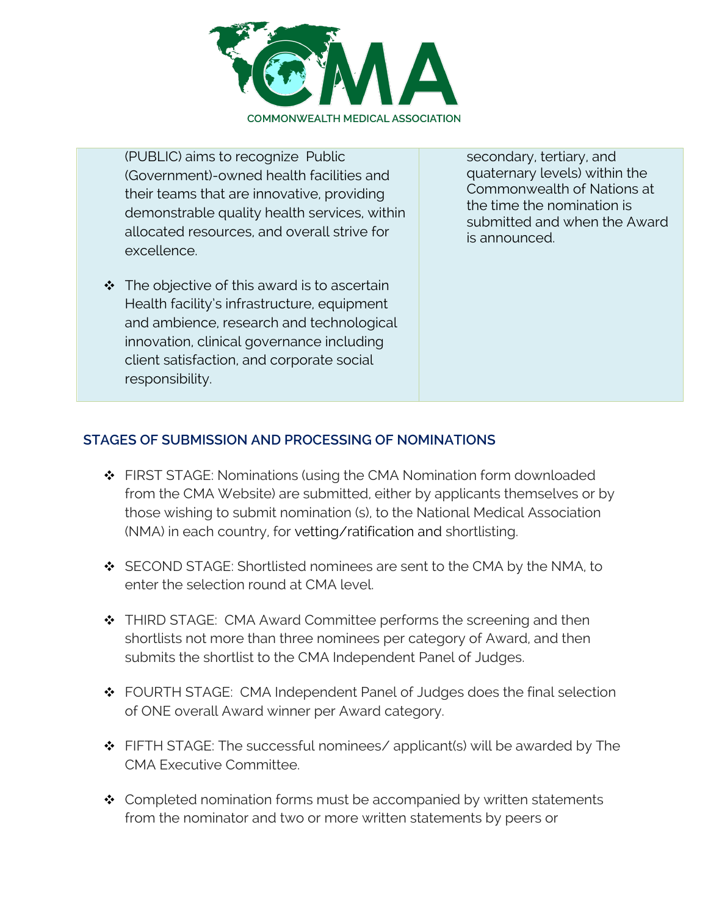

(PUBLIC) aims to recognize Public (Government)-owned health facilities and their teams that are innovative, providing demonstrable quality health services, within allocated resources, and overall strive for excellence.

 $\cdot \cdot$  The objective of this award is to ascertain Health facility's infrastructure, equipment and ambience, research and technological innovation, clinical governance including client satisfaction, and corporate social responsibility.

secondary, tertiary, and quaternary levels) within the Commonwealth of Nations at the time the nomination is submitted and when the Award is announced.

#### **STAGES OF SUBMISSION AND PROCESSING OF NOMINATIONS**

- ❖ FIRST STAGE: Nominations (using the CMA Nomination form downloaded from the CMA Website) are submitted, either by applicants themselves or by those wishing to submit nomination (s), to the National Medical Association (NMA) in each country, for vetting/ratification and shortlisting.
- $\div$  SECOND STAGE: Shortlisted nominees are sent to the CMA by the NMA, to enter the selection round at CMA level.
- ❖ THIRD STAGE: CMA Award Committee performs the screening and then shortlists not more than three nominees per category of Award, and then submits the shortlist to the CMA Independent Panel of Judges.
- ❖ FOURTH STAGE: CMA Independent Panel of Judges does the final selection of ONE overall Award winner per Award category.
- $\div$  FIFTH STAGE: The successful nominees/ applicant(s) will be awarded by The CMA Executive Committee.
- $\div$  Completed nomination forms must be accompanied by written statements from the nominator and two or more written statements by peers or